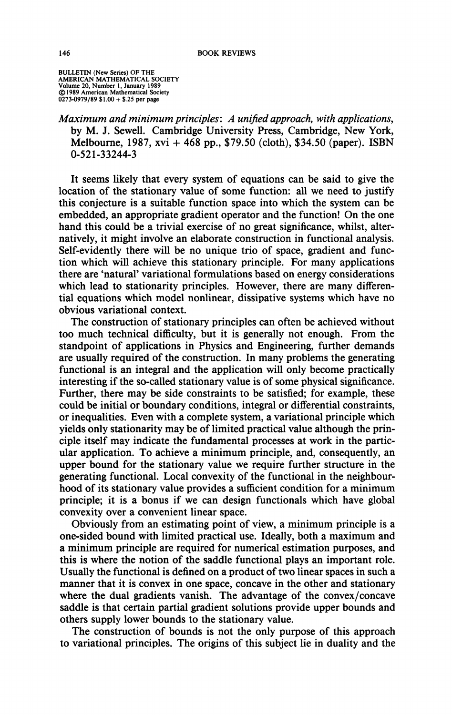**BULLETIN (New Series) OF THE AMERICAN MATHEMATICAL SOCIETY Volume 20, Number 1, January 1989 © 1989 American Mathematical Society 0273-0979/89 \$1.00 + \$.25 per page** 

*Maximum and minimum principles: A unified approach, with applications,*  **by M. J. Sewell. Cambridge University Press, Cambridge, New York, Melbourne, 1987, xvi + 468 pp., \$79.50 (cloth), \$34.50 (paper). ISBN 0-521-33244-3** 

**It seems likely that every system of equations can be said to give the location of the stationary value of some function: all we need to justify this conjecture is a suitable function space into which the system can be embedded, an appropriate gradient operator and the function! On the one hand this could be a trivial exercise of no great significance, whilst, alternatively, it might involve an elaborate construction in functional analysis. Self-evidently there will be no unique trio of space, gradient and function which will achieve this stationary principle. For many applications there are 'natural' variational formulations based on energy considerations which lead to stationarity principles. However, there are many differential equations which model nonlinear, dissipative systems which have no obvious variational context.** 

**The construction of stationary principles can often be achieved without too much technical difficulty, but it is generally not enough. From the standpoint of applications in Physics and Engineering, further demands are usually required of the construction. In many problems the generating functional is an integral and the application will only become practically interesting if the so-called stationary value is of some physical significance. Further, there may be side constraints to be satisfied; for example, these could be initial or boundary conditions, integral or differential constraints, or inequalities. Even with a complete system, a variational principle which yields only stationarity may be of limited practical value although the principle itself may indicate the fundamental processes at work in the particular application. To achieve a minimum principle, and, consequently, an upper bound for the stationary value we require further structure in the generating functional. Local convexity of the functional in the neighbourhood of its stationary value provides a sufficient condition for a minimum principle;** it is a bonus if we can design functionals which have global **convexity over a convenient linear space.** 

**Obviously from an estimating point of view, a minimum principle is a one-sided bound with limited practical use. Ideally, both a maximum and a minimum principle are required for numerical estimation purposes, and this is where the notion of the saddle functional plays an important role. Usually the functional is defined on a product of two linear spaces in such a manner that it is convex in one space, concave in the other and stationary where the dual gradients vanish. The advantage of the convex/concave saddle is that certain partial gradient solutions provide upper bounds and others supply lower bounds to the stationary value.** 

**The construction of bounds is not the only purpose of this approach to variational principles. The origins of this subject lie in duality and the**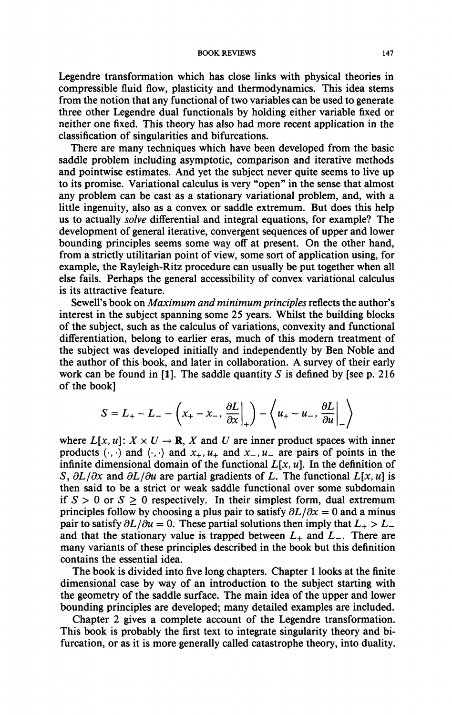**Legendre transformation which has close links with physical theories in compressible fluid flow, plasticity and thermodynamics. This idea stems from the notion that any functional of two variables can be used to generate**  three other Legendre dual functionals by holding either variable fixed or **neither one fixed. This theory has also had more recent application in the classification of singularities and bifurcations.** 

**There are many techniques which have been developed from the basic saddle problem including asymptotic, comparison and iterative methods and pointwise estimates. And yet the subject never quite seems to live up to its promise. Variational calculus is very "open" in the sense that almost any problem can be cast as a stationary variational problem, and, with a little ingenuity, also as a convex or saddle extremum. But does this help us to actually** *solve* **differential and integral equations, for example? The development of general iterative, convergent sequences of upper and lower bounding principles seems some way off at present. On the other hand, from a strictly utilitarian point of view, some sort of application using, for example, the Rayleigh-Ritz procedure can usually be put together when all else fails. Perhaps the general accessibility of convex variational calculus is its attractive feature.** 

**SewelPs book on** *Maximum and minimum principles* **reflects the author's interest in the subject spanning some 25 years. Whilst the building blocks of the subject, such as the calculus of variations, convexity and functional differentiation, belong to earlier eras, much of this modern treatment of the subject was developed initially and independently by Ben Noble and the author of this book, and later in collaboration. A survey of their early work can be found in [1]. The saddle quantity** *S* **is defined by [see p. 216 of the book]** 

$$
S = L_{+} - L_{-} - \left(x_{+} - x_{-}, \frac{\partial L}{\partial x}\Big|_{+}\right) - \left\langle u_{+} - u_{-}, \frac{\partial L}{\partial u}\Big|_{-}\right\rangle
$$

where  $L[x, u]: X \times U \rightarrow \mathbb{R}$ , X and U are inner product spaces with inner products  $(\cdot, \cdot)$  and  $\langle \cdot, \cdot \rangle$  and  $x_+, u_+$  and  $x_-, u_-$  are pairs of points in the infinite dimensional domain of the functional  $L[x, u]$ . In the definition of *S,*  $\partial L/\partial x$  and  $\partial L/\partial u$  are partial gradients of *L*. The functional  $L[x, u]$  is **then said to be a strict or weak saddle functional over some subdomain**  if  $S > 0$  or  $S > 0$  respectively. In their simplest form, dual extremum principles follow by choosing a plus pair to satisfy  $\partial L/\partial x = 0$  and a minus **pair to satisfy**  $\partial L/\partial u = 0$ . These partial solutions then imply that  $L_+ > L_$ and that the stationary value is trapped between  $L_{+}$  and  $L_{-}$ . There are **many variants of these principles described in the book but this definition contains the essential idea.** 

**The book is divided into five long chapters. Chapter 1 looks at the finite dimensional case by way of an introduction to the subject starting with the geometry of the saddle surface. The main idea of the upper and lower bounding principles are developed; many detailed examples are included.** 

**Chapter 2 gives a complete account of the Legendre transformation. This book is probably the first text to integrate singularity theory and bifurcation, or as it is more generally called catastrophe theory, into duality.**